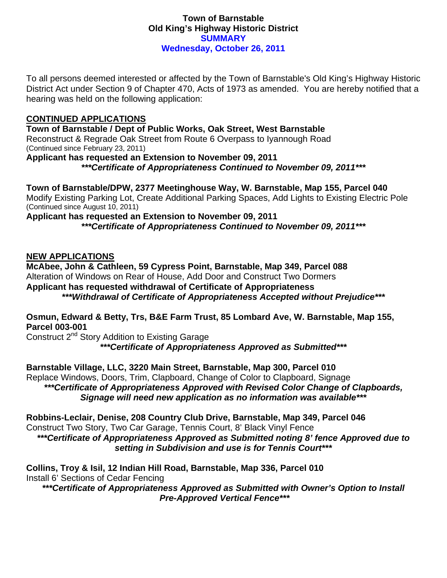### **Town of Barnstable Old King's Highway Historic District SUMMARY Wednesday, October 26, 2011**

To all persons deemed interested or affected by the Town of Barnstable's Old King's Highway Historic District Act under Section 9 of Chapter 470, Acts of 1973 as amended. You are hereby notified that a hearing was held on the following application:

## **CONTINUED APPLICATIONS**

**Town of Barnstable / Dept of Public Works, Oak Street, West Barnstable**  Reconstruct & Regrade Oak Street from Route 6 Overpass to Iyannough Road (Continued since February 23, 2011) **Applicant has requested an Extension to November 09, 2011**  *\*\*\*Certificate of Appropriateness Continued to November 09, 2011\*\*\** 

**Town of Barnstable/DPW, 2377 Meetinghouse Way, W. Barnstable, Map 155, Parcel 040**  Modify Existing Parking Lot, Create Additional Parking Spaces, Add Lights to Existing Electric Pole (Continued since August 10, 2011)

**Applicant has requested an Extension to November 09, 2011**  *\*\*\*Certificate of Appropriateness Continued to November 09, 2011\*\*\** 

#### **NEW APPLICATIONS**

**McAbee, John & Cathleen, 59 Cypress Point, Barnstable, Map 349, Parcel 088**  Alteration of Windows on Rear of House, Add Door and Construct Two Dormers **Applicant has requested withdrawal of Certificate of Appropriateness**  *\*\*\*Withdrawal of Certificate of Appropriateness Accepted without Prejudice\*\*\** 

# **Osmun, Edward & Betty, Trs, B&E Farm Trust, 85 Lombard Ave, W. Barnstable, Map 155, Parcel 003-001**

Construct 2<sup>nd</sup> Story Addition to Existing Garage *\*\*\*Certificate of Appropriateness Approved as Submitted\*\*\** 

**Barnstable Village, LLC, 3220 Main Street, Barnstable, Map 300, Parcel 010**  Replace Windows, Doors, Trim, Clapboard, Change of Color to Clapboard, Signage *\*\*\*Certificate of Appropriateness Approved with Revised Color Change of Clapboards, Signage will need new application as no information was available\*\*\** 

**Robbins-Leclair, Denise, 208 Country Club Drive, Barnstable, Map 349, Parcel 046**  Construct Two Story, Two Car Garage, Tennis Court, 8' Black Vinyl Fence

*\*\*\*Certificate of Appropriateness Approved as Submitted noting 8' fence Approved due to setting in Subdivision and use is for Tennis Court\*\*\** 

**Collins, Troy & Isil, 12 Indian Hill Road, Barnstable, Map 336, Parcel 010**  Install 6' Sections of Cedar Fencing

*\*\*\*Certificate of Appropriateness Approved as Submitted with Owner's Option to Install Pre-Approved Vertical Fence\*\*\**